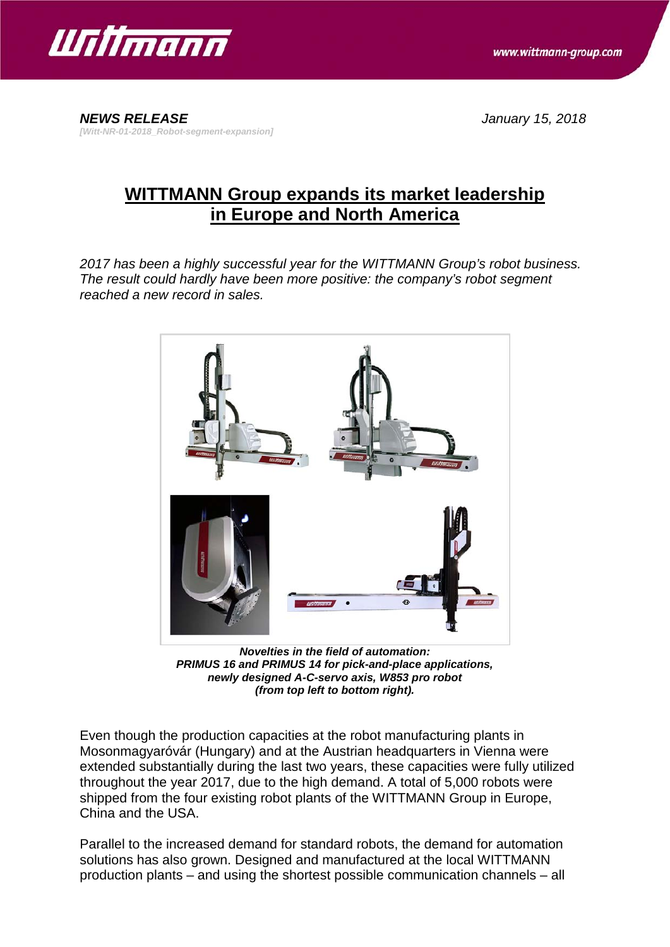

*NEWS RELEASE January 15, 2018 [Witt-NR-01-2018\_Robot-segment-expansion]*

## **WITTMANN Group expands its market leadership in Europe and North America**

*2017 has been a highly successful year for the WITTMANN Group's robot business. The result could hardly have been more positive: the company's robot segment reached a new record in sales.*



*Novelties in the field of automation: PRIMUS 16 and PRIMUS 14 for pick-and-place applications, newly designed A-C-servo axis, W853 pro robot (from top left to bottom right).*

Even though the production capacities at the robot manufacturing plants in Mosonmagyaróvár (Hungary) and at the Austrian headquarters in Vienna were extended substantially during the last two years, these capacities were fully utilized throughout the year 2017, due to the high demand. A total of 5,000 robots were shipped from the four existing robot plants of the WITTMANN Group in Europe, China and the USA.

Parallel to the increased demand for standard robots, the demand for automation solutions has also grown. Designed and manufactured at the local WITTMANN production plants – and using the shortest possible communication channels – all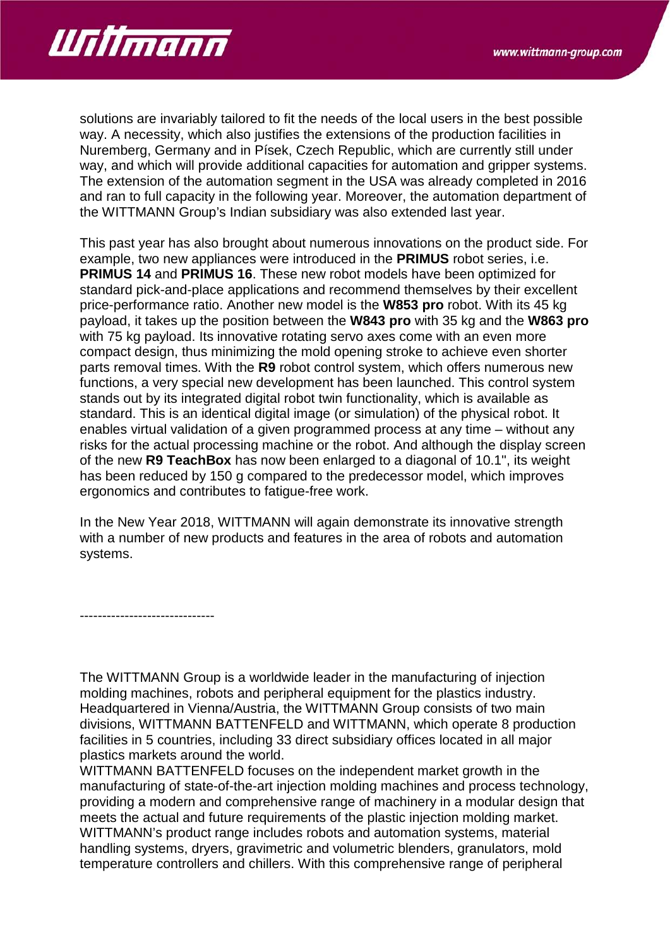

solutions are invariably tailored to fit the needs of the local users in the best possible way. A necessity, which also justifies the extensions of the production facilities in Nuremberg, Germany and in Písek, Czech Republic, which are currently still under way, and which will provide additional capacities for automation and gripper systems. The extension of the automation segment in the USA was already completed in 2016 and ran to full capacity in the following year. Moreover, the automation department of the WITTMANN Group's Indian subsidiary was also extended last year.

This past year has also brought about numerous innovations on the product side. For example, two new appliances were introduced in the **PRIMUS** robot series, i.e. **PRIMUS 14** and **PRIMUS 16**. These new robot models have been optimized for standard pick-and-place applications and recommend themselves by their excellent price-performance ratio. Another new model is the **W853 pro** robot. With its 45 kg payload, it takes up the position between the **W843 pro** with 35 kg and the **W863 pro** with 75 kg payload. Its innovative rotating servo axes come with an even more compact design, thus minimizing the mold opening stroke to achieve even shorter parts removal times. With the **R9** robot control system, which offers numerous new functions, a very special new development has been launched. This control system stands out by its integrated digital robot twin functionality, which is available as standard. This is an identical digital image (or simulation) of the physical robot. It enables virtual validation of a given programmed process at any time – without any risks for the actual processing machine or the robot. And although the display screen of the new **R9 TeachBox** has now been enlarged to a diagonal of 10.1", its weight has been reduced by 150 g compared to the predecessor model, which improves ergonomics and contributes to fatigue-free work.

In the New Year 2018, WITTMANN will again demonstrate its innovative strength with a number of new products and features in the area of robots and automation systems.

------------------------------

The WITTMANN Group is a worldwide leader in the manufacturing of injection molding machines, robots and peripheral equipment for the plastics industry. Headquartered in Vienna/Austria, the WITTMANN Group consists of two main divisions, WITTMANN BATTENFELD and WITTMANN, which operate 8 production facilities in 5 countries, including 33 direct subsidiary offices located in all major plastics markets around the world.

WITTMANN BATTENFELD focuses on the independent market growth in the manufacturing of state-of-the-art injection molding machines and process technology, providing a modern and comprehensive range of machinery in a modular design that meets the actual and future requirements of the plastic injection molding market. WITTMANN's product range includes robots and automation systems, material handling systems, dryers, gravimetric and volumetric blenders, granulators, mold temperature controllers and chillers. With this comprehensive range of peripheral